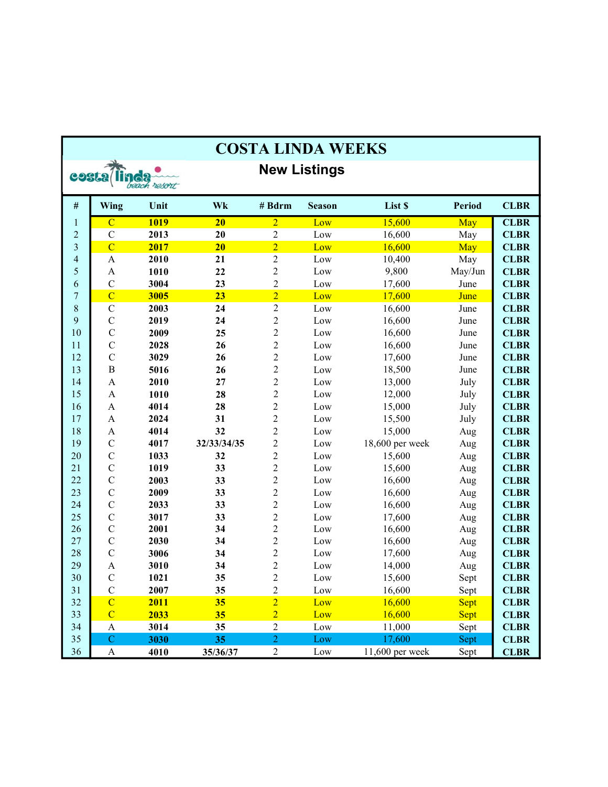| <b>COSTA LINDA WEEKS</b> |                           |              |                 |                  |                     |                 |               |             |  |
|--------------------------|---------------------------|--------------|-----------------|------------------|---------------------|-----------------|---------------|-------------|--|
| costa/                   |                           |              |                 |                  | <b>New Listings</b> |                 |               |             |  |
|                          |                           | beach resort |                 |                  |                     |                 |               |             |  |
| $\#$                     | Wing                      | Unit         | Wk              | # Bdrm           | <b>Season</b>       | List \$         | <b>Period</b> | <b>CLBR</b> |  |
| $\mathbf{1}$             | $\overline{C}$            | <b>1019</b>  | $\overline{20}$ | $\overline{2}$   | Low                 | 15,600          | May           | <b>CLBR</b> |  |
| $\overline{c}$           | $\mathbf C$               | 2013         | 20              | $\overline{c}$   | Low                 | 16,600          | May           | <b>CLBR</b> |  |
| $\overline{\mathbf{3}}$  | $\overline{C}$            | 2017         | 20              | $\overline{2}$   | Low                 | 16,600          | May           | <b>CLBR</b> |  |
| 4                        | $\boldsymbol{\mathsf{A}}$ | 2010         | 21              | $\overline{2}$   | Low                 | 10,400          | May           | <b>CLBR</b> |  |
| 5                        | $\boldsymbol{\mathsf{A}}$ | 1010         | 22              | $\boldsymbol{2}$ | Low                 | 9,800           | May/Jun       | <b>CLBR</b> |  |
| 6                        | $\mathbf C$               | 3004         | 23              | $\overline{2}$   | Low                 | 17,600          | June          | <b>CLBR</b> |  |
| 7                        | $\overline{C}$            | 3005         | 23              | $\overline{2}$   | Low                 | 17,600          | June          | <b>CLBR</b> |  |
| 8                        | $\mathbf C$               | 2003         | 24              | $\overline{2}$   | Low                 | 16,600          | June          | <b>CLBR</b> |  |
| 9                        | $\mathbf C$               | 2019         | 24              | $\sqrt{2}$       | Low                 | 16,600          | June          | <b>CLBR</b> |  |
| 10                       | $\mathbf C$               | 2009         | 25              | $\overline{2}$   | Low                 | 16,600          | June          | <b>CLBR</b> |  |
| 11                       | $\mathsf{C}$              | 2028         | 26              | $\overline{2}$   | Low                 | 16,600          | June          | <b>CLBR</b> |  |
| 12                       | $\mathbf C$               | 3029         | 26              | $\overline{c}$   | Low                 | 17,600          | June          | <b>CLBR</b> |  |
| 13                       | $\, {\bf B}$              | 5016         | 26              | $\overline{2}$   | Low                 | 18,500          | June          | <b>CLBR</b> |  |
| 14                       | $\mathbf{A}$              | 2010         | 27              | $\overline{2}$   | Low                 | 13,000          | July          | <b>CLBR</b> |  |
| 15                       | $\mathbf{A}$              | 1010         | 28              | $\sqrt{2}$       | Low                 | 12,000          | July          | <b>CLBR</b> |  |
| 16                       | $\mathbf{A}$              | 4014         | 28              | $\overline{2}$   | Low                 | 15,000          | July          | <b>CLBR</b> |  |
| 17                       | $\boldsymbol{\mathsf{A}}$ | 2024         | 31              | $\overline{2}$   | Low                 | 15,500          | July          | <b>CLBR</b> |  |
| 18                       | $\boldsymbol{\mathsf{A}}$ | 4014         | 32              | $\overline{2}$   | Low                 | 15,000          | Aug           | <b>CLBR</b> |  |
| 19                       | $\mathbf C$               | 4017         | 32/33/34/35     | $\overline{2}$   | Low                 | 18,600 per week | Aug           | <b>CLBR</b> |  |
| 20                       | $\mathbf C$               | 1033         | 32              | $\boldsymbol{2}$ | Low                 | 15,600          | Aug           | <b>CLBR</b> |  |
| 21                       | $\mathbf C$               | 1019         | 33              | $\overline{2}$   | Low                 | 15,600          | Aug           | <b>CLBR</b> |  |
| 22                       | $\mathsf C$               | 2003         | 33              | $\overline{2}$   | Low                 | 16,600          | Aug           | <b>CLBR</b> |  |
| 23                       | $\mathbf C$               | 2009         | 33              | $\overline{2}$   | Low                 | 16,600          | Aug           | <b>CLBR</b> |  |
| 24                       | $\mathbf C$               | 2033         | 33              | $\overline{2}$   | Low                 | 16,600          | Aug           | <b>CLBR</b> |  |
| 25                       | $\mathsf C$               | 3017         | 33              | $\boldsymbol{2}$ | Low                 | 17,600          | Aug           | <b>CLBR</b> |  |
| 26                       | $\mathsf C$               | 2001         | 34              | $\boldsymbol{2}$ | Low                 | 16,600          | Aug           | <b>CLBR</b> |  |
| 27                       | $\mathbf C$               | 2030         | 34              | $\overline{2}$   | Low                 | 16,600          | Aug           | <b>CLBR</b> |  |
| 28                       | $\mathcal{C}$             | 3006         | 34              | $\boldsymbol{2}$ | Low                 | 17,600          | Aug           | <b>CLBR</b> |  |
| 29                       | $\mathbf{A}$              | 3010         | 34              | $\overline{2}$   | Low                 | 14,000          | Aug           | <b>CLBR</b> |  |
| 30                       | $\mathcal{C}$             | 1021         | 35              | $\overline{2}$   | Low                 | 15,600          | Sept          | <b>CLBR</b> |  |
| 31                       | $\mathbf C$               | 2007         | 35              | $\overline{c}$   | Low                 | 16,600          | Sept          | <b>CLBR</b> |  |
| 32                       | $\overline{C}$            | 2011         | 35              | $\overline{2}$   | Low                 | 16,600          | <b>Sept</b>   | <b>CLBR</b> |  |
| 33                       | $\overline{C}$            | 2033         | 35              | $\overline{2}$   | Low                 | 16,600          | <b>Sept</b>   | <b>CLBR</b> |  |
| 34                       | $\boldsymbol{\rm{A}}$     | 3014         | 35              | $\mathbf{2}$     | Low                 | 11,000          | Sept          | <b>CLBR</b> |  |
| 35                       | $\mathbf C$               | 3030         | 35              | $\overline{2}$   | Low                 | 17,600          | Sept          | <b>CLBR</b> |  |
| 36                       | A                         | 4010         | 35/36/37        | $\overline{2}$   | Low                 | 11,600 per week | Sept          | <b>CLBR</b> |  |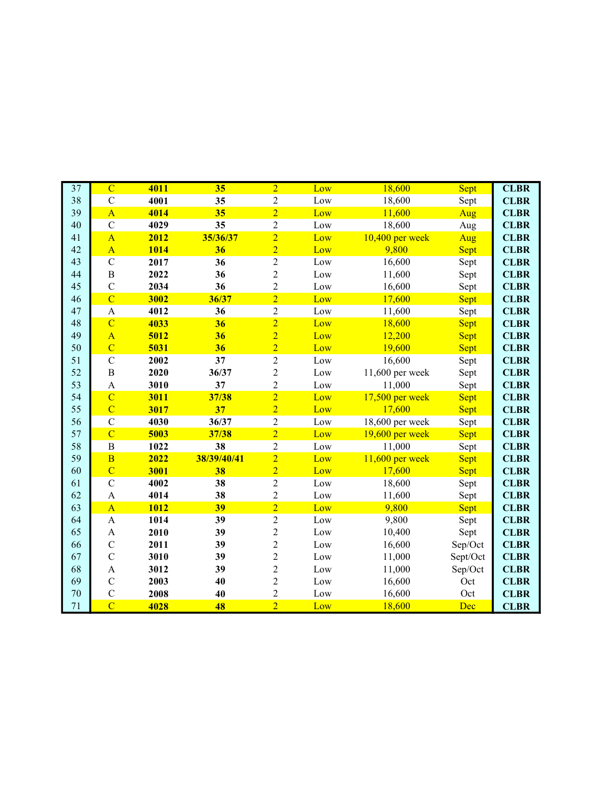| $\overline{37}$ | $\overline{C}$            | 4011 | 35          | $\overline{2}$ | Low        | 18,600            |             | <b>CLBR</b> |
|-----------------|---------------------------|------|-------------|----------------|------------|-------------------|-------------|-------------|
| 38              | $\overline{C}$            | 4001 | 35          | $\overline{2}$ |            | 18,600            | Sept        | <b>CLBR</b> |
| 39              | $\overline{A}$            |      | 35          | $\overline{2}$ | Low<br>Low | 11,600            | Sept        |             |
| 40              | $\overline{C}$            | 4014 |             |                |            |                   | Aug         | <b>CLBR</b> |
|                 |                           | 4029 | 35          | $\overline{2}$ | Low        | 18,600            | Aug         | <b>CLBR</b> |
| 41              | $\overline{A}$            | 2012 | 35/36/37    | $\overline{2}$ | Low        | $10,400$ per week | Aug         | <b>CLBR</b> |
| 42              | $\overline{A}$            | 1014 | 36          | $\overline{2}$ | Low        | 9,800             | Sept        | <b>CLBR</b> |
| 43              | $\overline{C}$            | 2017 | 36          | $\overline{2}$ | Low        | 16,600            | Sept        | <b>CLBR</b> |
| 44              | $\boldsymbol{B}$          | 2022 | 36          | $\overline{2}$ | Low        | 11,600            | Sept        | <b>CLBR</b> |
| 45              | $\overline{C}$            | 2034 | 36          | $\overline{2}$ | Low        | 16,600            | Sept        | <b>CLBR</b> |
| 46              | $\overline{C}$            | 3002 | 36/37       | $\overline{2}$ | Low        | 17,600            | Sept        | <b>CLBR</b> |
| 47              | $\mathbf{A}$              | 4012 | 36          | $\overline{c}$ | Low        | 11,600            | Sept        | <b>CLBR</b> |
| 48              | $\overline{C}$            | 4033 | 36          | $\overline{2}$ | Low        | 18,600            | <b>Sept</b> | <b>CLBR</b> |
| 49              | $\overline{A}$            | 5012 | 36          | $\overline{2}$ | Low        | 12,200            | Sept        | <b>CLBR</b> |
| 50              | $\overline{C}$            | 5031 | 36          | $\overline{2}$ | Low        | 19,600            | <b>Sept</b> | <b>CLBR</b> |
| 51              | $\mathcal{C}$             | 2002 | 37          | $\overline{2}$ | Low        | 16,600            | Sept        | <b>CLBR</b> |
| 52              | B                         | 2020 | 36/37       | $\overline{2}$ | Low        | 11,600 per week   | Sept        | <b>CLBR</b> |
| 53              | $\mathbf{A}$              | 3010 | 37          | $\overline{2}$ | Low        | 11,000            | Sept        | <b>CLBR</b> |
| 54              | $\overline{C}$            | 3011 | 37/38       | $\overline{2}$ | Low        | $17,500$ per week | Sept        | <b>CLBR</b> |
| 55              | $\overline{C}$            | 3017 | 37          | $\overline{2}$ | Low        | 17,600            | <b>Sept</b> | <b>CLBR</b> |
| 56              | $\mathbf C$               | 4030 | 36/37       | $\overline{2}$ | Low        | 18,600 per week   | Sept        | <b>CLBR</b> |
| 57              | $\overline{C}$            | 5003 | 37/38       | $\overline{2}$ | Low        | $19,600$ per week | Sept        | <b>CLBR</b> |
| 58              | $\, {\bf B}$              | 1022 | 38          | $\overline{c}$ | Low        | 11,000            | Sept        | <b>CLBR</b> |
| 59              | $\overline{B}$            | 2022 | 38/39/40/41 | $\overline{2}$ | Low        | $11,600$ per week | Sept        | <b>CLBR</b> |
| 60              | $\overline{C}$            | 3001 | 38          | $\overline{2}$ | Low        | 17,600            | Sept        | <b>CLBR</b> |
| 61              | $\mathcal{C}$             | 4002 | 38          | $\overline{c}$ | Low        | 18,600            | Sept        | <b>CLBR</b> |
| 62              | $\boldsymbol{\mathsf{A}}$ | 4014 | 38          | $\overline{2}$ | Low        | 11,600            | Sept        | <b>CLBR</b> |
| 63              | $\overline{A}$            | 1012 | 39          | $\overline{2}$ | Low        | 9,800             | Sept        | <b>CLBR</b> |
| 64              | $\mathbf{A}$              | 1014 | 39          | $\overline{2}$ | Low        | 9,800             | Sept        | <b>CLBR</b> |
| 65              | $\boldsymbol{\mathsf{A}}$ | 2010 | 39          | $\overline{c}$ | Low        | 10,400            | Sept        | <b>CLBR</b> |
| 66              | $\mathcal{C}$             | 2011 | 39          | $\overline{2}$ | Low        | 16,600            | Sep/Oct     | <b>CLBR</b> |
| 67              | $\mathbf C$               | 3010 | 39          | $\overline{2}$ | Low        | 11,000            | Sept/Oct    | <b>CLBR</b> |
| 68              | A                         | 3012 | 39          | $\overline{2}$ | Low        | 11,000            | Sep/Oct     | <b>CLBR</b> |
| 69              | $\mathbf C$               | 2003 | 40          | $\overline{c}$ | Low        | 16,600            | Oct         | <b>CLBR</b> |
| 70              | $\mathbf C$               | 2008 | 40          | $\overline{2}$ | Low        | 16,600            | Oct         | <b>CLBR</b> |
| 71              | $\overline{C}$            | 4028 | 48          | $\overline{2}$ | Low        | 18,600            | Dec         | <b>CLBR</b> |